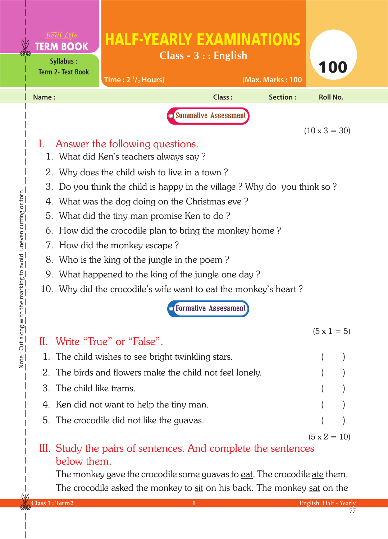|    | <b>TERM BOOK</b>                                    | <b>HALF-YEARLY EXAMINATIONS</b>                                                                                       | $Class - 3 :: English$      |                  |                      |  |  |  |
|----|-----------------------------------------------------|-----------------------------------------------------------------------------------------------------------------------|-----------------------------|------------------|----------------------|--|--|--|
|    | <b>Syllabus:</b><br><b>Term 2- Text Book</b>        | Time: $2\frac{1}{2}$ Hours]                                                                                           |                             | [Max. Marks: 100 | 100                  |  |  |  |
|    | Name:                                               |                                                                                                                       | Class:                      | Section:         | <b>Roll No.</b>      |  |  |  |
|    |                                                     |                                                                                                                       | Summative Assessment        |                  |                      |  |  |  |
|    |                                                     |                                                                                                                       |                             |                  | $(10 \times 3 = 30)$ |  |  |  |
|    |                                                     | Answer the following questions.                                                                                       |                             |                  |                      |  |  |  |
|    |                                                     | 1. What did Ken's teachers always say?                                                                                |                             |                  |                      |  |  |  |
|    | 3.                                                  | 2. Why does the child wish to live in a town?<br>Do you think the child is happy in the village? Why do you think so? |                             |                  |                      |  |  |  |
|    |                                                     | 4. What was the dog doing on the Christmas eve?                                                                       |                             |                  |                      |  |  |  |
|    |                                                     | 5. What did the tiny man promise Ken to do?                                                                           |                             |                  |                      |  |  |  |
|    |                                                     | 6. How did the crocodile plan to bring the monkey home?                                                               |                             |                  |                      |  |  |  |
|    |                                                     | 7. How did the monkey escape?                                                                                         |                             |                  |                      |  |  |  |
|    | Who is the king of the jungle in the poem?<br>8.    |                                                                                                                       |                             |                  |                      |  |  |  |
|    | 9. What happened to the king of the jungle one day? |                                                                                                                       |                             |                  |                      |  |  |  |
|    |                                                     | 10. Why did the crocodile's wife want to eat the monkey's heart?                                                      |                             |                  |                      |  |  |  |
|    |                                                     |                                                                                                                       | <b>Formative Assessment</b> |                  |                      |  |  |  |
|    |                                                     |                                                                                                                       |                             |                  | $(5 \times 1 = 5)$   |  |  |  |
|    |                                                     | II. Write "True" or "False".                                                                                          |                             |                  |                      |  |  |  |
|    |                                                     | 1. The child wishes to see bright twinkling stars.                                                                    |                             |                  |                      |  |  |  |
|    | 3. The child like trams.                            | 2. The birds and flowers make the child not feel lonely.                                                              |                             |                  |                      |  |  |  |
|    |                                                     |                                                                                                                       |                             |                  |                      |  |  |  |
|    |                                                     | 4. Ken did not want to help the tiny man.                                                                             |                             |                  |                      |  |  |  |
|    |                                                     | 5. The crocodile did not like the guavas.                                                                             |                             |                  |                      |  |  |  |
|    |                                                     | III. Study the pairs of sentences. And complete the sentences                                                         |                             |                  | $(5 \times 2 = 10)$  |  |  |  |
|    | below them.                                         |                                                                                                                       |                             |                  |                      |  |  |  |
|    |                                                     | The monkey gave the crocodile some guavas to <u>eat</u> . The crocodile <u>ate</u> them.                              |                             |                  |                      |  |  |  |
| NΛ |                                                     | The crocodile asked the monkey to sit on his back. The monkey sat on the                                              |                             |                  |                      |  |  |  |

Note: Cut along with the marking to avoid uneven cutting or torn. Note : Cut along with the marking to avoid uneven cutting or torn.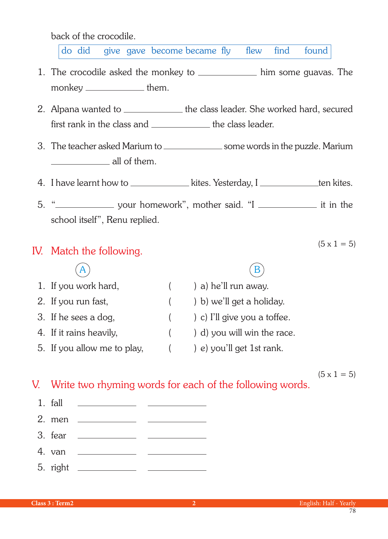back of the crocodile.

do did give gave become became fly flew find found

- 1. The crocodile asked the monkey to \_\_\_\_\_\_\_\_\_\_\_\_\_ him some guavas. The monkey \_\_\_\_\_\_\_\_\_\_\_\_\_ them.
- 2. Alpana wanted to \_\_\_\_\_\_\_\_\_\_\_\_\_\_ the class leader. She worked hard, secured first rank in the class and  $\frac{1}{1}$  the class leader.
- 3. The teacher asked Marium to \_\_\_\_\_\_\_\_\_\_\_\_\_\_\_\_\_\_ some words in the puzzle. Marium **all of them.**
- 4. I have learnt how to \_\_\_\_\_\_\_\_\_\_\_\_\_\_ kites. Yesterday, I \_\_\_\_\_\_\_\_\_\_\_\_ten kites.
- 5. " **washim washim washim washim washim washim washim washim washim washim washim washim washim washim washim washim washim washim washim washim washim washim washim washim washim washim washim washim washim washim washim** school itself", Renu replied.

## IV. Match the following.

 $(5 \times 1 = 5)$ 

| 1. If you work hard,        | $($ $)$ a) he'll run away.         |
|-----------------------------|------------------------------------|
| 2. If you run fast,         | $($ $)$ b) we'll get a holiday.    |
| 3. If he sees a dog,        | $($ $)$ c) I'll give you a toffee. |
| 4. If it rains heavily,     | $($ $)$ d) you will win the race.  |
| 5. If you allow me to play, | e) you'll get 1st rank.            |

 $(5 \times 1 = 5)$ 

## V. Write two rhyming words for each of the following words.

| $1.$ fall | the control of the control of the control of                                                                                                                                                                                                                                                                                                                                                                             |  |
|-----------|--------------------------------------------------------------------------------------------------------------------------------------------------------------------------------------------------------------------------------------------------------------------------------------------------------------------------------------------------------------------------------------------------------------------------|--|
|           | 2. men $\frac{1}{\sqrt{1-\frac{1}{2}}}\frac{1}{\sqrt{1-\frac{1}{2}}}\frac{1}{\sqrt{1-\frac{1}{2}}}\frac{1}{\sqrt{1-\frac{1}{2}}}\frac{1}{\sqrt{1-\frac{1}{2}}}\frac{1}{\sqrt{1-\frac{1}{2}}}\frac{1}{\sqrt{1-\frac{1}{2}}}\frac{1}{\sqrt{1-\frac{1}{2}}}\frac{1}{\sqrt{1-\frac{1}{2}}}\frac{1}{\sqrt{1-\frac{1}{2}}}\frac{1}{\sqrt{1-\frac{1}{2}}}\frac{1}{\sqrt{1-\frac{1}{2}}}\frac{1}{\sqrt{1-\frac{1}{2}}}\frac{1}{$ |  |
| 3. fear   | <u> 1990 - Jan Alexandri, politik eta politik eta politik eta politik eta politik eta politik eta politik eta po</u>                                                                                                                                                                                                                                                                                                     |  |
| 4. van    | <u> 1980 - Andrea Station Barbara, amerikan per</u>                                                                                                                                                                                                                                                                                                                                                                      |  |
|           |                                                                                                                                                                                                                                                                                                                                                                                                                          |  |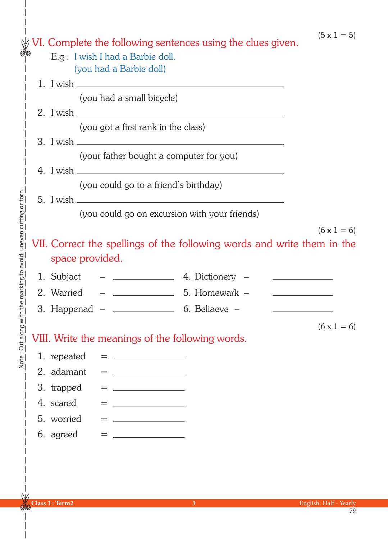$(5 \times 1 = 5)$ 

|                               |                                                                        | VI. Complete the following sentences using the clues given. |                                         |     |                                                                                                                                                                                                                                      |                                                                         |                                              |
|-------------------------------|------------------------------------------------------------------------|-------------------------------------------------------------|-----------------------------------------|-----|--------------------------------------------------------------------------------------------------------------------------------------------------------------------------------------------------------------------------------------|-------------------------------------------------------------------------|----------------------------------------------|
| ଔ⊚                            |                                                                        |                                                             |                                         |     | E.g: I wish I had a Barbie doll.                                                                                                                                                                                                     |                                                                         |                                              |
|                               |                                                                        |                                                             |                                         |     | (you had a Barbie doll)                                                                                                                                                                                                              |                                                                         |                                              |
|                               |                                                                        |                                                             |                                         |     |                                                                                                                                                                                                                                      |                                                                         |                                              |
|                               |                                                                        |                                                             |                                         |     | (you had a small bicycle)                                                                                                                                                                                                            |                                                                         |                                              |
|                               |                                                                        |                                                             |                                         |     |                                                                                                                                                                                                                                      |                                                                         |                                              |
|                               |                                                                        |                                                             |                                         |     | (you got a first rank in the class)                                                                                                                                                                                                  |                                                                         |                                              |
|                               |                                                                        |                                                             |                                         |     |                                                                                                                                                                                                                                      |                                                                         |                                              |
|                               |                                                                        |                                                             | (your father bought a computer for you) |     |                                                                                                                                                                                                                                      |                                                                         |                                              |
|                               |                                                                        |                                                             |                                         |     |                                                                                                                                                                                                                                      | 4. I wish                                                               |                                              |
|                               |                                                                        |                                                             |                                         |     | (you could go to a friend's birthday)                                                                                                                                                                                                |                                                                         |                                              |
|                               |                                                                        |                                                             |                                         |     |                                                                                                                                                                                                                                      |                                                                         |                                              |
|                               |                                                                        |                                                             |                                         |     |                                                                                                                                                                                                                                      | (you could go on excursion with your friends)                           |                                              |
|                               |                                                                        |                                                             |                                         |     |                                                                                                                                                                                                                                      |                                                                         | $(6 \times 1 = 6)$                           |
| uneven cutting or torn.       |                                                                        |                                                             |                                         |     |                                                                                                                                                                                                                                      | VII. Correct the spellings of the following words and write them in the |                                              |
|                               |                                                                        | space provided.                                             |                                         |     |                                                                                                                                                                                                                                      |                                                                         |                                              |
| ong with the marking to avoid |                                                                        | 1. Subjact                                                  |                                         |     |                                                                                                                                                                                                                                      | – <u>____________</u> 4. Dictionery –                                   | the control of the control of the control of |
|                               |                                                                        | 2. Warried                                                  |                                         |     |                                                                                                                                                                                                                                      |                                                                         |                                              |
|                               |                                                                        |                                                             |                                         |     |                                                                                                                                                                                                                                      |                                                                         |                                              |
|                               |                                                                        |                                                             |                                         |     |                                                                                                                                                                                                                                      |                                                                         |                                              |
| $rac{1}{2}$                   | $(6 \times 1 = 6)$<br>VIII. Write the meanings of the following words. |                                                             |                                         |     |                                                                                                                                                                                                                                      |                                                                         |                                              |
| Note                          |                                                                        | 1. repeated                                                 |                                         |     |                                                                                                                                                                                                                                      |                                                                         |                                              |
|                               |                                                                        | 2. adamant                                                  |                                         |     |                                                                                                                                                                                                                                      |                                                                         |                                              |
|                               |                                                                        | 3. trapped                                                  |                                         |     | <u>and the state of the state of the state</u>                                                                                                                                                                                       |                                                                         |                                              |
|                               |                                                                        | 4. scared                                                   |                                         | $=$ | <u> 1990 - Johann Barbara, martin a</u>                                                                                                                                                                                              |                                                                         |                                              |
|                               |                                                                        | 5. worried                                                  |                                         |     | <u> 1990 - John Harry Harry Harry Harry Harry Harry Harry Harry Harry Harry Harry Harry Harry Harry Harry Harry Harry Harry Harry Harry Harry Harry Harry Harry Harry Harry Harry Harry Harry Harry Harry Harry Harry Harry Harr</u> |                                                                         |                                              |
|                               |                                                                        | 6. agreed                                                   |                                         |     |                                                                                                                                                                                                                                      |                                                                         |                                              |

 $\overline{\phantom{a}}$